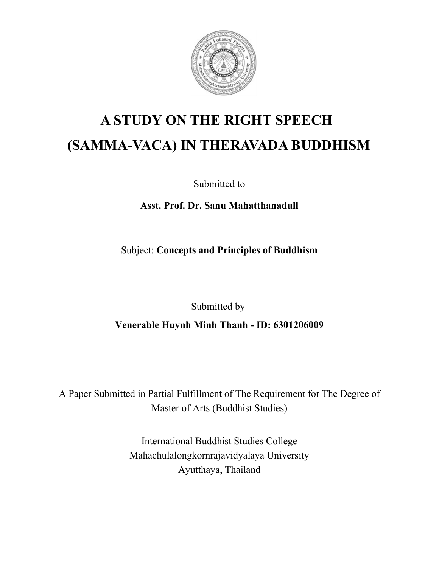

# **A STUDY ON THE RIGHT SPEECH (SAMMA-VACA) IN THERAVADA BUDDHISM**

Submitted to

**Asst. Prof. Dr. Sanu Mahatthanadull**

Subject: **Concepts and Principles of Buddhism**

Submitted by

**Venerable Huynh Minh Thanh - ID: 6301206009**

A Paper Submitted in Partial Fulfillment of The Requirement for The Degree of Master of Arts (Buddhist Studies)

> International Buddhist Studies College Mahachulalongkornrajavidyalaya University Ayutthaya, Thailand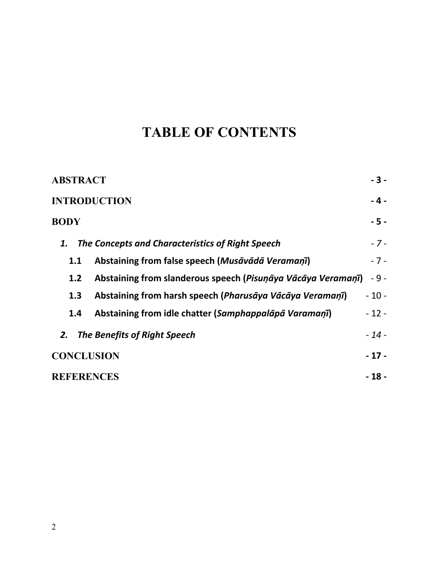## **TABLE OF CONTENTS**

| <b>ABSTRACT</b>                                                     | $-3-$  |
|---------------------------------------------------------------------|--------|
| <b>INTRODUCTION</b>                                                 | $-4-$  |
| <b>BODY</b>                                                         | $-5 -$ |
| The Concepts and Characteristics of Right Speech<br>1.              | $-7-$  |
| Abstaining from false speech (Musāvādā Veramaņī)<br>1.1             | $-7-$  |
| Abstaining from slanderous speech (Pisunāya Vācāya Veramaņī)<br>1.2 | $-9-$  |
| Abstaining from harsh speech (Pharusāya Vācāya Veramaņī)<br>1.3     | $-10-$ |
| Abstaining from idle chatter (Samphappalapa Varamani)<br>1.4        | $-12-$ |
| <b>The Benefits of Right Speech</b><br>2.                           | $-14-$ |
| <b>CONCLUSION</b>                                                   | $-17-$ |
| <b>REFERENCES</b>                                                   | $-18-$ |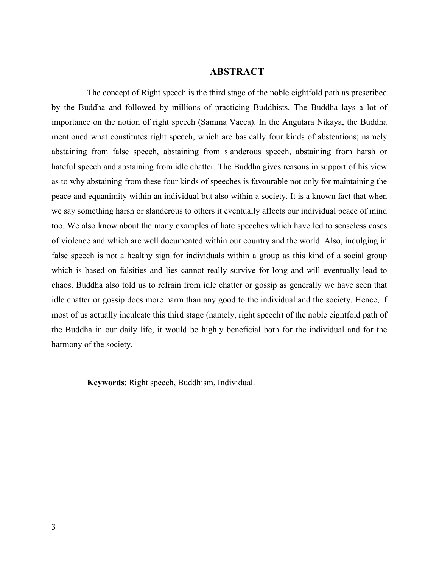#### **ABSTRACT**

The concept of Right speech is the third stage of the noble eightfold path as prescribed by the Buddha and followed by millions of practicing Buddhists. The Buddha lays a lot of importance on the notion of right speech (Samma Vacca). In the Angutara Nikaya, the Buddha mentioned what constitutes right speech, which are basically four kinds of abstentions; namely abstaining from false speech, abstaining from slanderous speech, abstaining from harsh or hateful speech and abstaining from idle chatter. The Buddha gives reasons in support of his view as to why abstaining from these four kinds of speeches is favourable not only for maintaining the peace and equanimity within an individual but also within a society. It is a known fact that when we say something harsh or slanderous to others it eventually affects our individual peace of mind too. We also know about the many examples of hate speeches which have led to senseless cases of violence and which are well documented within our country and the world. Also, indulging in false speech is not a healthy sign for individuals within a group as this kind of a social group which is based on falsities and lies cannot really survive for long and will eventually lead to chaos. Buddha also told us to refrain from idle chatter or gossip as generally we have seen that idle chatter or gossip does more harm than any good to the individual and the society. Hence, if most of us actually inculcate this third stage (namely, right speech) of the noble eightfold path of the Buddha in our daily life, it would be highly beneficial both for the individual and for the harmony of the society.

**Keywords**: Right speech, Buddhism, Individual.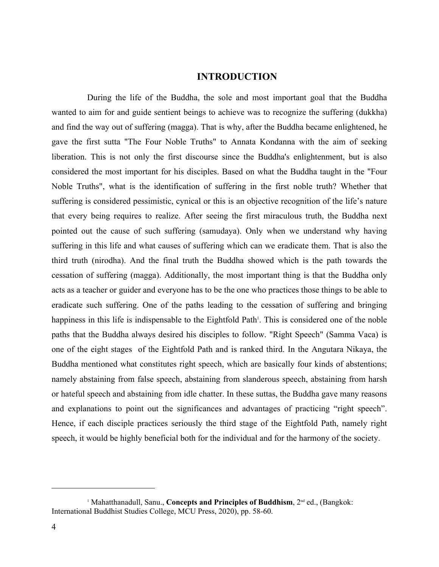#### **INTRODUCTION**

During the life of the Buddha, the sole and most important goal that the Buddha wanted to aim for and guide sentient beings to achieve was to recognize the suffering (dukkha) and find the way out of suffering (magga). That is why, after the Buddha became enlightened, he gave the first sutta "The Four Noble Truths" to Annata Kondanna with the aim of seeking liberation. This is not only the first discourse since the Buddha's enlightenment, but is also considered the most important for his disciples. Based on what the Buddha taught in the "Four Noble Truths", what is the identification of suffering in the first noble truth? Whether that suffering is considered pessimistic, cynical or this is an objective recognition of the life's nature that every being requires to realize. After seeing the first miraculous truth, the Buddha next pointed out the cause of such suffering (samudaya). Only when we understand why having suffering in this life and what causes of suffering which can we eradicate them. That is also the third truth (nirodha). And the final truth the Buddha showed which is the path towards the cessation of suffering (magga). Additionally, the most important thing is that the Buddha only acts as a teacher or guider and everyone has to be the one who practices those things to be able to eradicate such suffering. One of the paths leading to the cessation of suffering and bringing happiness in this life is indispensable to the Eightfold Path<sup>1</sup>. This is considered one of the noble paths that the Buddha always desired his disciples to follow. "Right Speech" (Samma Vaca) is one of the eight stages of the Eightfold Path and is ranked third. In the Angutara Nikaya, the Buddha mentioned what constitutes right speech, which are basically four kinds of abstentions; namely abstaining from false speech, abstaining from slanderous speech, abstaining from harsh or hateful speech and abstaining from idle chatter. In these suttas, the Buddha gave many reasons and explanations to point out the significances and advantages of practicing "right speech". Hence, if each disciple practices seriously the third stage of the Eightfold Path, namely right speech, it would be highly beneficial both for the individual and for the harmony of the society.

<sup>&</sup>lt;sup>1</sup> Mahatthanadull, Sanu., Concepts and Principles of Buddhism, 2<sup>nd</sup> ed., (Bangkok: International Buddhist Studies College, MCU Press, 2020), pp. 58-60.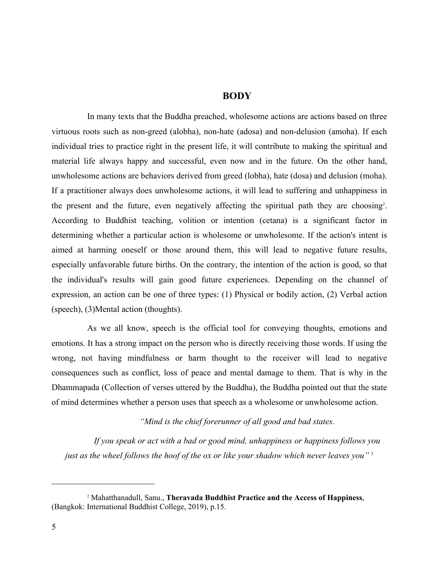#### **BODY**

In many texts that the Buddha preached, wholesome actions are actions based on three virtuous roots such as non-greed (alobha), non-hate (adosa) and non-delusion (amoha). If each individual tries to practice right in the present life, it will contribute to making the spiritual and material life always happy and successful, even now and in the future. On the other hand, unwholesome actions are behaviors derived from greed (lobha), hate (dosa) and delusion (moha). If a practitioner always does unwholesome actions, it will lead to suffering and unhappiness in the present and the future, even negatively affecting the spiritual path they are choosing<sup>2</sup> . According to Buddhist teaching, volition or intention (cetana) is a significant factor in determining whether a particular action is wholesome or unwholesome. If the action's intent is aimed at harming oneself or those around them, this will lead to negative future results, especially unfavorable future births. On the contrary, the intention of the action is good, so that the individual's results will gain good future experiences. Depending on the channel of expression, an action can be one of three types: (1) Physical or bodily action, (2) Verbal action (speech), (3)Mental action (thoughts).

As we all know, speech is the official tool for conveying thoughts, emotions and emotions. It has a strong impact on the person who is directly receiving those words. If using the wrong, not having mindfulness or harm thought to the receiver will lead to negative consequences such as conflict, loss of peace and mental damage to them. That is why in the Dhammapada (Collection of verses uttered by the Buddha), the Buddha pointed out that the state of mind determines whether a person uses that speech as a wholesome or unwholesome action.

*"Mind is the chief forerunner of all good and bad states.*

*If you speak or act with a bad or good mind, unhappiness or happiness follows you just as the wheel follows the hoof of the ox or like your shadow which never leaves you"* <sup>3</sup>

<sup>2</sup> Mahatthanadull, Sanu., **Theravada Buddhist Practice and the Access of Happiness**, (Bangkok: International Buddhist College, 2019), p.15.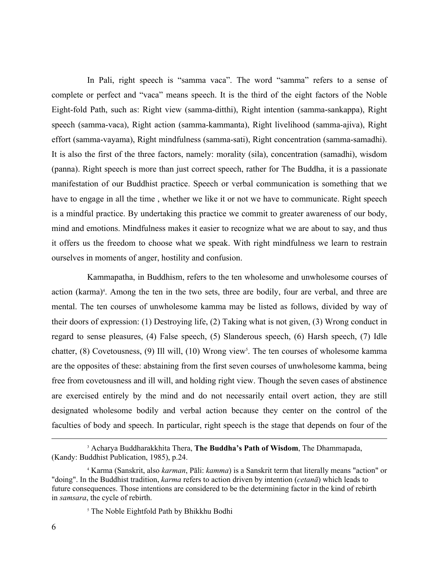In Pali, right speech is "samma vaca". The word "samma" refers to a sense of complete or perfect and "vaca" means speech. It is the third of the eight factors of the Noble Eight-fold Path, such as: Right view (samma-ditthi), Right intention (samma-sankappa), Right speech (samma-vaca), Right action (samma-kammanta), Right livelihood (samma-ajiva), Right effort (samma-vayama), Right mindfulness (samma-sati), Right concentration (samma-samadhi). It is also the first of the three factors, namely: morality (sila), concentration (samadhi), wisdom (panna). Right speech is more than just correct speech, rather for The Buddha, it is a passionate manifestation of our Buddhist practice. Speech or verbal communication is something that we have to engage in all the time , whether we like it or not we have to communicate. Right speech is a mindful practice. By undertaking this practice we commit to greater awareness of our body, mind and emotions. Mindfulness makes it easier to recognize what we are about to say, and thus it offers us the freedom to choose what we speak. With right mindfulness we learn to restrain ourselves in moments of anger, hostility and confusion.

Kammapatha, in Buddhism, refers to the ten wholesome and unwholesome courses of action (karma)<sup>4</sup>. Among the ten in the two sets, three are bodily, four are verbal, and three are mental. The ten courses of unwholesome kamma may be listed as follows, divided by way of their doors of expression: (1) Destroying life, (2) Taking what is not given, (3) Wrong conduct in regard to sense pleasures, (4) False speech, (5) Slanderous speech, (6) Harsh speech, (7) Idle chatter, (8) Covetousness, (9) Ill will, (10) Wrong view<sup>5</sup>. The ten courses of wholesome kamma are the opposites of these: abstaining from the first seven courses of unwholesome kamma, being free from covetousness and ill will, and holding right view. Though the seven cases of abstinence are exercised entirely by the mind and do not necessarily entail overt action, they are still designated wholesome bodily and verbal action because they center on the control of the faculties of body and speech. In particular, right speech is the stage that depends on four of the

<sup>3</sup> Acharya Buddharakkhita Thera, **The Buddha's Path of Wisdom**, The Dhammapada, (Kandy: Buddhist Publication, 1985), p.24.

<sup>4</sup> Karma (Sanskrit, also *karman*, Pāli: *kamma*) is a Sanskrit term that literally means "action" or "doing". In the [Buddhist](https://en.wikipedia.org/wiki/Buddhist) tradition, *karma* refers to action driven by intention (*[cetanā](https://en.wikipedia.org/wiki/Cetan%C4%81)*) which leads to future consequences. Those intentions are considered to be the determining factor in the kind of rebirth in *[samsara](https://en.wikipedia.org/wiki/Samsara_(Buddhism))*, the cycle of rebirth.

<sup>&</sup>lt;sup>5</sup> [The Noble Eightfold Path by Bhikkhu Bodhi](http://www.accesstoinsight.org/lib/authors/bodhi/waytoend.html)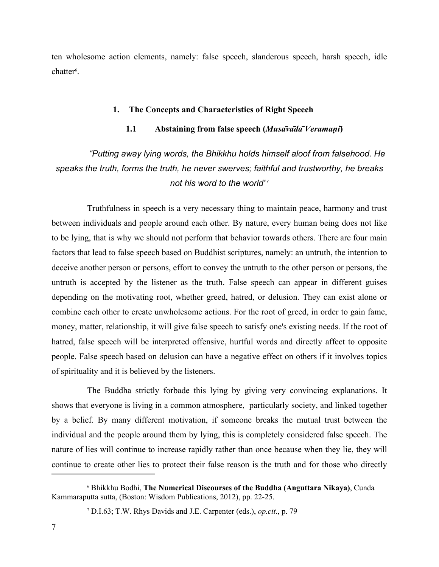ten wholesome action elements, namely: false speech, slanderous speech, harsh speech, idle chatter<sup>6</sup>.

#### **1. The Concepts and Characteristics of Right Speech**

#### **1.1 Abstaining from false speech (***Musāvādā Veramaṇī***)**

## *"Putting away lying words, the Bhikkhu holds himself aloof from falsehood. He speaks the truth, forms the truth, he never swerves; faithful and trustworthy, he breaks not his word to the world"<sup>7</sup>*

Truthfulness in speech is a very necessary thing to maintain peace, harmony and trust between individuals and people around each other. By nature, every human being does not like to be lying, that is why we should not perform that behavior towards others. There are four main factors that lead to false speech based on Buddhist scriptures, namely: an untruth, the intention to deceive another person or persons, effort to convey the untruth to the other person or persons, the untruth is accepted by the listener as the truth. False speech can appear in different guises depending on the motivating root, whether greed, hatred, or delusion. They can exist alone or combine each other to create unwholesome actions. For the root of greed, in order to gain fame, money, matter, relationship, it will give false speech to satisfy one's existing needs. If the root of hatred, false speech will be interpreted offensive, hurtful words and directly affect to opposite people. False speech based on delusion can have a negative effect on others if it involves topics of spirituality and it is believed by the listeners.

The Buddha strictly forbade this lying by giving very convincing explanations. It shows that everyone is living in a common atmosphere, particularly society, and linked together by a belief. By many different motivation, if someone breaks the mutual trust between the individual and the people around them by lying, this is completely considered false speech. The nature of lies will continue to increase rapidly rather than once because when they lie, they will continue to create other lies to protect their false reason is the truth and for those who directly

<sup>6</sup> Bhikkhu Bodhi, **The Numerical Discourses of the Buddha (Anguttara Nikaya)**, Cunda Kammaraputta sutta, (Boston: Wisdom Publications, 2012), pp. 22-25.

<sup>7</sup> D.I.63; T.W. Rhys Davids and J.E. Carpenter (eds.), *op.cit*., p. 79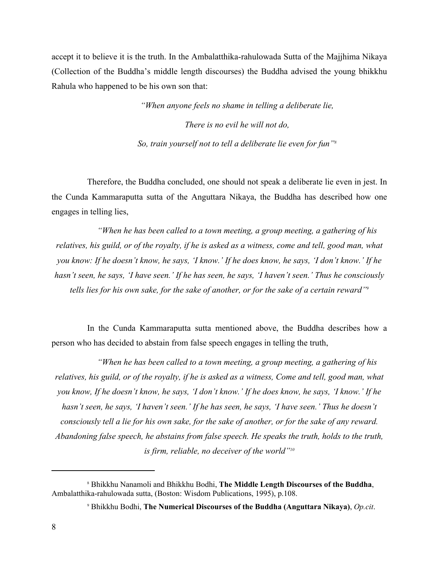accept it to believe it is the truth. In the Ambalatthika-rahulowada Sutta of the Majjhima Nikaya (Collection of the Buddha's middle length discourses) the Buddha advised the young bhikkhu Rahula who happened to be his own son that:

> *"When anyone feels no shame in telling a deliberate lie, There is no evil he will not do, So, train yourself not to tell a deliberate lie even for fun"<sup>8</sup>*

Therefore, the Buddha concluded, one should not speak a deliberate lie even in jest. In the Cunda Kammaraputta sutta of the Anguttara Nikaya, the Buddha has described how one engages in telling lies,

*"When he has been called to a town meeting, a group meeting, a gathering of his relatives, his guild, or of the royalty, if he is asked as a witness, come and tell, good man, what you know: If he doesn't know, he says, 'I know.' If he does know, he says, 'I don't know.' If he hasn't seen, he says, 'I have seen.' If he has seen, he says, 'I haven't seen.' Thus he consciously tells lies for his own sake, for the sake of another, or for the sake of a certain reward"<sup>9</sup>*

In the Cunda Kammaraputta sutta mentioned above, the Buddha describes how a person who has decided to abstain from false speech engages in telling the truth,

*"When he has been called to a town meeting, a group meeting, a gathering of his relatives, his guild, or of the royalty, if he is asked as a witness, Come and tell, good man, what you know, If he doesn't know, he says, 'I don't know.' If he does know, he says, 'I know.' If he hasn't seen, he says, 'I haven't seen.' If he has seen, he says, 'I have seen.' Thus he doesn't consciously tell a lie for his own sake, for the sake of another, or for the sake of any reward. Abandoning false speech, he abstains from false speech. He speaks the truth, holds to the truth, is firm, reliable, no deceiver of the world"<sup>10</sup>*

<sup>8</sup> Bhikkhu Nanamoli and Bhikkhu Bodhi, **The Middle Length Discourses of the Buddha**, Ambalatthika-rahulowada sutta, (Boston: Wisdom Publications, 1995), p.108.

<sup>9</sup> Bhikkhu Bodhi, **The Numerical Discourses of the Buddha (Anguttara Nikaya)**, *Op.cit*.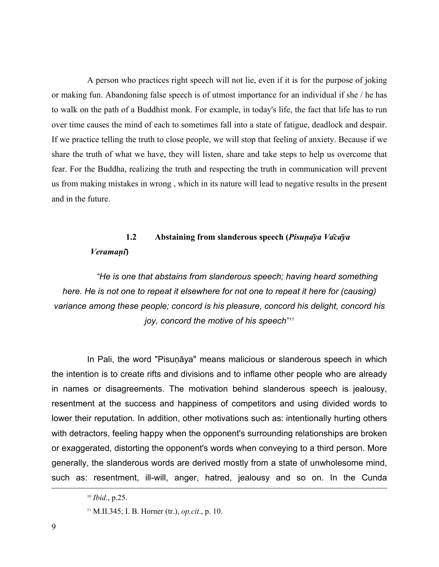A person who practices right speech will not lie, even if it is for the purpose of joking or making fun. Abandoning false speech is of utmost importance for an individual if she / he has to walk on the path of a Buddhist monk. For example, in today's life, the fact that life has to run over time causes the mind of each to sometimes fall into a state of fatigue, deadlock and despair. If we practice telling the truth to close people, we will stop that feeling of anxiety. Because if we share the truth of what we have, they will listen, share and take steps to help us overcome that fear. For the Buddha, realizing the truth and respecting the truth in communication will prevent us from making mistakes in wrong , which in its nature will lead to negative results in the present and in the future.

## **1.2 Abstaining from slanderous speech (***Pisuṇāya Vācāya Veramaṇī***)**

*"He is one that abstains from slanderous speech; having heard something here. He is not one to repeat it elsewhere for not one to repeat it here for (causing) variance among these people; concord is his pleasure, concord his delight, concord his joy, concord the motive of his speech" 11*

In Pali, the word "Pisunāya" means malicious or slanderous speech in which the intention is to create rifts and divisions and to inflame other people who are already in names or disagreements. The motivation behind slanderous speech is jealousy, resentment at the success and happiness of competitors and using divided words to lower their reputation. In addition, other motivations such as: intentionally hurting others with detractors, feeling happy when the opponent's surrounding relationships are broken or exaggerated, distorting the opponent's words when conveying to a third person. More generally, the slanderous words are derived mostly from a state of unwholesome mind, such as: resentment, ill-will, anger, hatred, jealousy and so on. In the Cunda

<sup>10</sup> *Ibid*., p.25.

<sup>11</sup> M.II.345; I. B. Horner (tr.), *op.cit*., p. 10.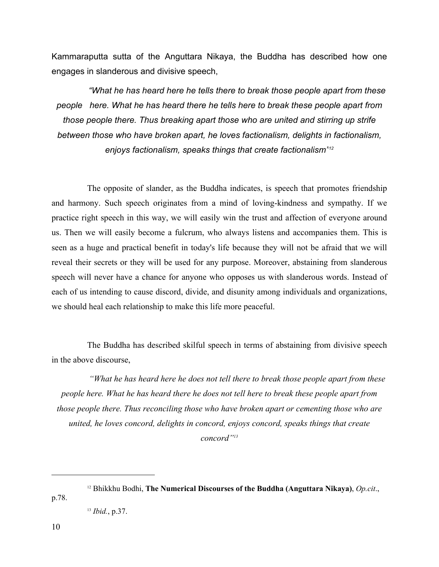Kammaraputta sutta of the Anguttara Nikaya, the Buddha has described how one engages in slanderous and divisive speech,

*"What he has heard here he tells there to break those people apart from these people here. What he has heard there he tells here to break these people apart from those people there. Thus breaking apart those who are united and stirring up strife between those who have broken apart, he loves factionalism, delights in factionalism, enjoys factionalism, speaks things that create factionalism"<sup>12</sup>*

The opposite of slander, as the Buddha indicates, is speech that promotes friendship and harmony. Such speech originates from a mind of loving-kindness and sympathy. If we practice right speech in this way, we will easily win the trust and affection of everyone around us. Then we will easily become a fulcrum, who always listens and accompanies them. This is seen as a huge and practical benefit in today's life because they will not be afraid that we will reveal their secrets or they will be used for any purpose. Moreover, abstaining from slanderous speech will never have a chance for anyone who opposes us with slanderous words. Instead of each of us intending to cause discord, divide, and disunity among individuals and organizations, we should heal each relationship to make this life more peaceful.

The Buddha has described skilful speech in terms of abstaining from divisive speech in the above discourse,

*"What he has heard here he does not tell there to break those people apart from these people here. What he has heard there he does not tell here to break these people apart from those people there. Thus reconciling those who have broken apart or cementing those who are united, he loves concord, delights in concord, enjoys concord, speaks things that create concord"<sup>13</sup>*

<sup>12</sup> Bhikkhu Bodhi, **The Numerical Discourses of the Buddha (Anguttara Nikaya)**, *Op.cit*., p.78.

<sup>13</sup> *Ibid.*, p.37.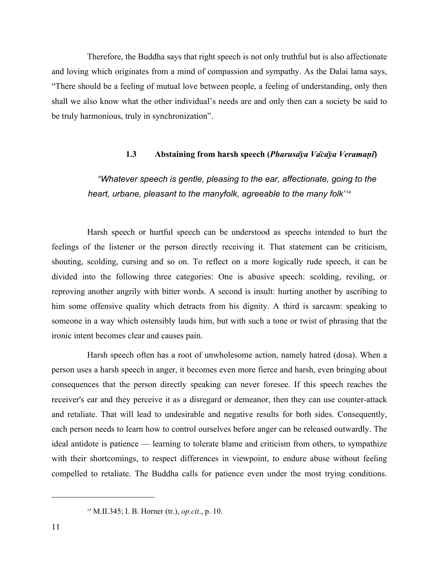Therefore, the Buddha says that right speech is not only truthful but is also affectionate and loving which originates from a mind of compassion and sympathy. As the Dalai lama says, "There should be a feeling of mutual love between people, a feeling of understanding, only then shall we also know what the other individual's needs are and only then can a society be said to be truly harmonious, truly in synchronization".

#### **1.3 Abstaining from harsh speech (***Pharusāya Vācāya Veramaṇī***)**

## *"Whatever speech is gentle, pleasing to the ear, affectionate, going to the heart, urbane, pleasant to the manyfolk, agreeable to the many folk" 14*

Harsh speech or hurtful speech can be understood as speechs intended to hurt the feelings of the listener or the person directly receiving it. That statement can be criticism, shouting, scolding, cursing and so on. To reflect on a more logically rude speech, it can be divided into the following three categories: One is abusive speech: scolding, reviling, or reproving another angrily with bitter words. A second is insult: hurting another by ascribing to him some offensive quality which detracts from his dignity. A third is sarcasm: speaking to someone in a way which ostensibly lauds him, but with such a tone or twist of phrasing that the ironic intent becomes clear and causes pain.

Harsh speech often has a root of unwholesome action, namely hatred (dosa). When a person uses a harsh speech in anger, it becomes even more fierce and harsh, even bringing about consequences that the person directly speaking can never foresee. If this speech reaches the receiver's ear and they perceive it as a disregard or demeanor, then they can use counter-attack and retaliate. That will lead to undesirable and negative results for both sides. Consequently, each person needs to learn how to control ourselves before anger can be released outwardly. The ideal antidote is patience — learning to tolerate blame and criticism from others, to sympathize with their shortcomings, to respect differences in viewpoint, to endure abuse without feeling compelled to retaliate. The Buddha calls for patience even under the most trying conditions.

<sup>14</sup> M.II.345; I. B. Horner (tr.), *op.cit*., p. 10.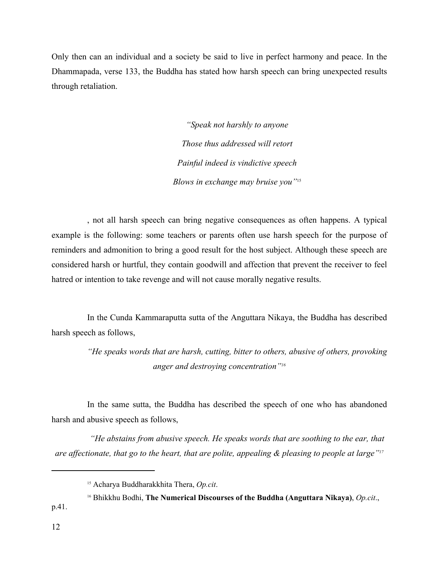Only then can an individual and a society be said to live in perfect harmony and peace. In the Dhammapada, verse 133, the Buddha has stated how harsh speech can bring unexpected results through retaliation.

> *"Speak not harshly to anyone Those thus addressed will retort Painful indeed is vindictive speech Blows in exchange may bruise you"*<sup>15</sup>

, not all harsh speech can bring negative consequences as often happens. A typical example is the following: some teachers or parents often use harsh speech for the purpose of reminders and admonition to bring a good result for the host subject. Although these speech are considered harsh or hurtful, they contain goodwill and affection that prevent the receiver to feel hatred or intention to take revenge and will not cause morally negative results.

In the Cunda Kammaraputta sutta of the Anguttara Nikaya, the Buddha has described harsh speech as follows,

> *"He speaks words that are harsh, cutting, bitter to others, abusive of others, provoking anger and destroying concentration"<sup>16</sup>*

In the same sutta, the Buddha has described the speech of one who has abandoned harsh and abusive speech as follows,

*"He abstains from abusive speech. He speaks words that are soothing to the ear, that are affectionate, that go to the heart, that are polite, appealing & pleasing to people at large"<sup>17</sup>*

<sup>15</sup> Acharya Buddharakkhita Thera, *Op.cit*.

<sup>16</sup> Bhikkhu Bodhi, **The Numerical Discourses of the Buddha (Anguttara Nikaya)**, *Op.cit*., p.41.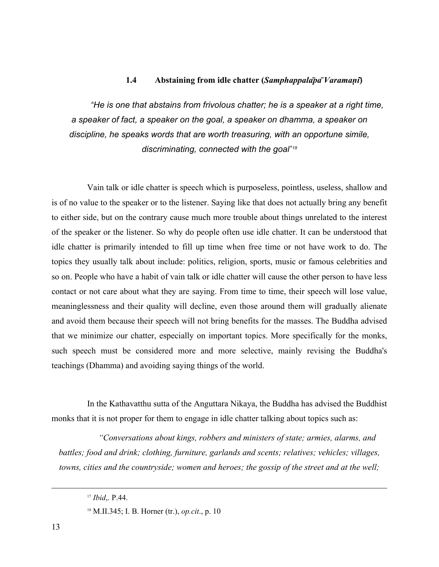#### **1.4 Abstaining from idle chatter (***Samphappalāpā Varamaṇī***)**

*"He is one that abstains from frivolous chatter; he is a speaker at a right time, a speaker of fact, a speaker on the goal, a speaker on dhamma, a speaker on discipline, he speaks words that are worth treasuring, with an opportune simile, discriminating, connected with the goal" 18*

Vain talk or idle chatter is speech which is purposeless, pointless, useless, shallow and is of no value to the speaker or to the listener. Saying like that does not actually bring any benefit to either side, but on the contrary cause much more trouble about things unrelated to the interest of the speaker or the listener. So why do people often use idle chatter. It can be understood that idle chatter is primarily intended to fill up time when free time or not have work to do. The topics they usually talk about include: politics, religion, sports, music or famous celebrities and so on. People who have a habit of vain talk or idle chatter will cause the other person to have less contact or not care about what they are saying. From time to time, their speech will lose value, meaninglessness and their quality will decline, even those around them will gradually alienate and avoid them because their speech will not bring benefits for the masses. The Buddha advised that we minimize our chatter, especially on important topics. More specifically for the monks, such speech must be considered more and more selective, mainly revising the Buddha's teachings (Dhamma) and avoiding saying things of the world.

In the Kathavatthu sutta of the Anguttara Nikaya, the Buddha has advised the Buddhist monks that it is not proper for them to engage in idle chatter talking about topics such as:

*"Conversations about kings, robbers and ministers of state; armies, alarms, and battles; food and drink; clothing, furniture, garlands and scents; relatives; vehicles; villages, towns, cities and the countryside; women and heroes; the gossip of the street and at the well;* 

<sup>17</sup> *Ibid*,. P.44.

<sup>18</sup> M.II.345; I. B. Horner (tr.), *op.cit*., p. 10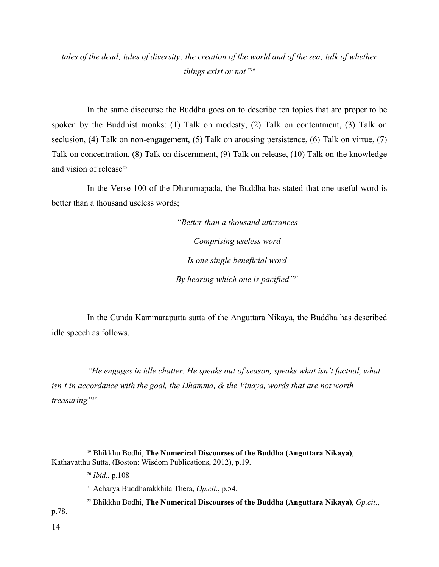### *tales of the dead; tales of diversity; the creation of the world and of the sea; talk of whether things exist or not"<sup>19</sup>*

In the same discourse the Buddha goes on to describe ten topics that are proper to be spoken by the Buddhist monks: (1) Talk on modesty, (2) Talk on contentment, (3) Talk on seclusion, (4) Talk on non-engagement, (5) Talk on arousing persistence, (6) Talk on virtue, (7) Talk on concentration, (8) Talk on discernment, (9) Talk on release, (10) Talk on the knowledge and vision of release<sup>20</sup>

In the Verse 100 of the Dhammapada, the Buddha has stated that one useful word is better than a thousand useless words;

> *"Better than a thousand utterances Comprising useless word Is one single beneficial word By hearing which one is pacified"<sup>21</sup>*

In the Cunda Kammaraputta sutta of the Anguttara Nikaya, the Buddha has described idle speech as follows,

*"He engages in idle chatter. He speaks out of season, speaks what isn't factual, what isn't in accordance with the goal, the Dhamma, & the Vinaya, words that are not worth treasuring"<sup>22</sup>*

<sup>19</sup> Bhikkhu Bodhi, **The Numerical Discourses of the Buddha (Anguttara Nikaya)**, Kathavatthu Sutta, (Boston: Wisdom Publications, 2012), p.19.

<sup>20</sup> *Ibid*., p.108

<sup>21</sup> Acharya Buddharakkhita Thera, *Op.cit*., p.54.

<sup>22</sup> Bhikkhu Bodhi, **The Numerical Discourses of the Buddha (Anguttara Nikaya)**, *Op.cit*., p.78.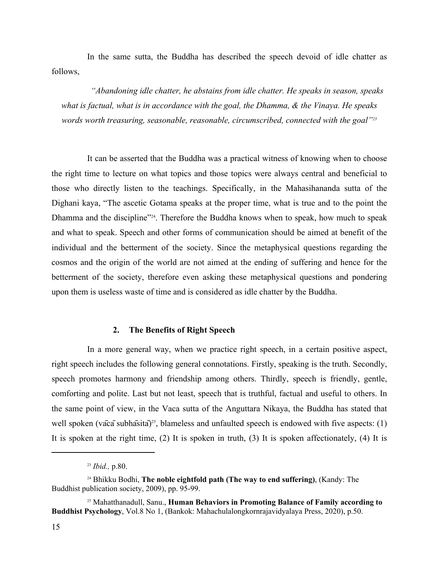In the same sutta, the Buddha has described the speech devoid of idle chatter as follows,

*"Abandoning idle chatter, he abstains from idle chatter. He speaks in season, speaks what is factual, what is in accordance with the goal, the Dhamma, & the Vinaya. He speaks words worth treasuring, seasonable, reasonable, circumscribed, connected with the goal"<sup>23</sup>*

It can be asserted that the Buddha was a practical witness of knowing when to choose the right time to lecture on what topics and those topics were always central and beneficial to those who directly listen to the teachings. Specifically, in the Mahasihananda sutta of the Dighani kaya, "The ascetic Gotama speaks at the proper time, what is true and to the point the Dhamma and the discipline<sup>224</sup>. Therefore the Buddha knows when to speak, how much to speak and what to speak. Speech and other forms of communication should be aimed at benefit of the individual and the betterment of the society. Since the metaphysical questions regarding the cosmos and the origin of the world are not aimed at the ending of suffering and hence for the betterment of the society, therefore even asking these metaphysical questions and pondering upon them is useless waste of time and is considered as idle chatter by the Buddha.

#### **2. The Benefits of Right Speech**

In a more general way, when we practice right speech, in a certain positive aspect, right speech includes the following general connotations. Firstly, speaking is the truth. Secondly, speech promotes harmony and friendship among others. Thirdly, speech is friendly, gentle, comforting and polite. Last but not least, speech that is truthful, factual and useful to others. In the same point of view, in the Vaca sutta of the Anguttara Nikaya, the Buddha has stated that well spoken (vaca subhasita)<sup>25</sup>, blameless and unfaulted speech is endowed with five aspects: (1) It is spoken at the right time, (2) It is spoken in truth, (3) It is spoken affectionately, (4) It is

<sup>23</sup> *Ibid.,* p.80.

<sup>24</sup> Bhikku Bodhi, **The noble eightfold path (The way to end suffering)**, (Kandy: The Buddhist publication society, 2009), pp. 95-99.

<sup>25</sup> Mahatthanadull, Sanu., **Human Behaviors in Promoting Balance of Family according to Buddhist Psychology**, Vol.8 No 1, (Bankok: Mahachulalongkornrajavidyalaya Press, 2020), p.50.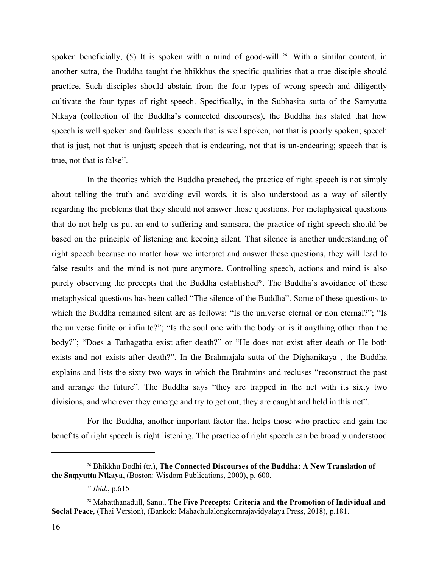spoken beneficially, (5) It is spoken with a mind of good-will <sup>26</sup>. With a similar content, in another sutra, the Buddha taught the bhikkhus the specific qualities that a true disciple should practice. Such disciples should abstain from the four types of wrong speech and diligently cultivate the four types of right speech. Specifically, in the Subhasita sutta of the Samyutta Nikaya (collection of the Buddha's connected discourses), the Buddha has stated that how speech is well spoken and faultless: speech that is well spoken, not that is poorly spoken; speech that is just, not that is unjust; speech that is endearing, not that is un-endearing; speech that is true, not that is false $27$ . .

In the theories which the Buddha preached, the practice of right speech is not simply about telling the truth and avoiding evil words, it is also understood as a way of silently regarding the problems that they should not answer those questions. For metaphysical questions that do not help us put an end to suffering and samsara, the practice of right speech should be based on the principle of listening and keeping silent. That silence is another understanding of right speech because no matter how we interpret and answer these questions, they will lead to false results and the mind is not pure anymore. Controlling speech, actions and mind is also purely observing the precepts that the Buddha established<sup>28</sup>. The Buddha's avoidance of these metaphysical questions has been called "The silence of the Buddha". Some of these questions to which the Buddha remained silent are as follows: "Is the universe eternal or non eternal?"; "Is the universe finite or infinite?"; "Is the soul one with the body or is it anything other than the body?"; "Does a Tathagatha exist after death?" or "He does not exist after death or He both exists and not exists after death?". In the Brahmajala sutta of the Dighanikaya , the Buddha explains and lists the sixty two ways in which the Brahmins and recluses "reconstruct the past and arrange the future". The Buddha says "they are trapped in the net with its sixty two divisions, and wherever they emerge and try to get out, they are caught and held in this net".

For the Buddha, another important factor that helps those who practice and gain the benefits of right speech is right listening. The practice of right speech can be broadly understood

<sup>26</sup> Bhikkhu Bodhi (tr.), **The Connected Discourses of the Buddha: A New Translation of the Saṃyutta Nῑkaya**, (Boston: Wisdom Publications, 2000), p. 600.

<sup>27</sup> *Ibid*., p.615

<sup>28</sup> Mahatthanadull, Sanu., **The Five Precepts: Criteria and the Promotion of Individual and Social Peace**, (Thai Version), (Bankok: Mahachulalongkornrajavidyalaya Press, 2018), p.181.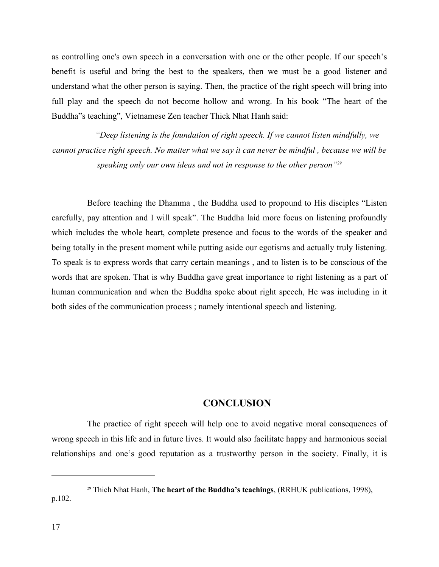as controlling one's own speech in a conversation with one or the other people. If our speech's benefit is useful and bring the best to the speakers, then we must be a good listener and understand what the other person is saying. Then, the practice of the right speech will bring into full play and the speech do not become hollow and wrong. In his book "The heart of the Buddha"s teaching", Vietnamese Zen teacher Thick Nhat Hanh said:

*"Deep listening is the foundation of right speech. If we cannot listen mindfully, we cannot practice right speech. No matter what we say it can never be mindful , because we will be speaking only our own ideas and not in response to the other person"<sup>29</sup>*

Before teaching the Dhamma , the Buddha used to propound to His disciples "Listen carefully, pay attention and I will speak". The Buddha laid more focus on listening profoundly which includes the whole heart, complete presence and focus to the words of the speaker and being totally in the present moment while putting aside our egotisms and actually truly listening. To speak is to express words that carry certain meanings , and to listen is to be conscious of the words that are spoken. That is why Buddha gave great importance to right listening as a part of human communication and when the Buddha spoke about right speech, He was including in it both sides of the communication process ; namely intentional speech and listening.

#### **CONCLUSION**

The practice of right speech will help one to avoid negative moral consequences of wrong speech in this life and in future lives. It would also facilitate happy and harmonious social relationships and one's good reputation as a trustworthy person in the society. Finally, it is

<sup>29</sup> Thich Nhat Hanh, **The heart of the Buddha's teachings**, (RRHUK publications, 1998), p.102.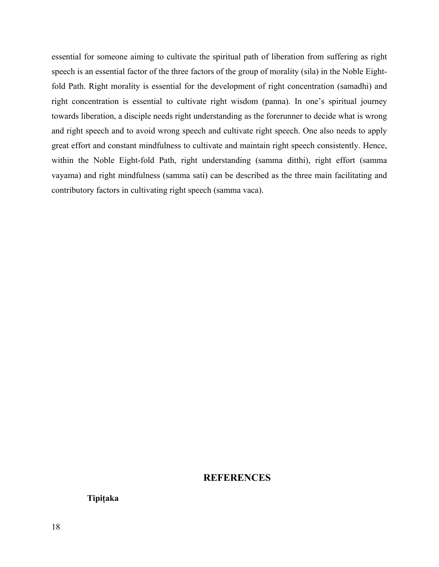essential for someone aiming to cultivate the spiritual path of liberation from suffering as right speech is an essential factor of the three factors of the group of morality (sila) in the Noble Eightfold Path. Right morality is essential for the development of right concentration (samadhi) and right concentration is essential to cultivate right wisdom (panna). In one's spiritual journey towards liberation, a disciple needs right understanding as the forerunner to decide what is wrong and right speech and to avoid wrong speech and cultivate right speech. One also needs to apply great effort and constant mindfulness to cultivate and maintain right speech consistently. Hence, within the Noble Eight-fold Path, right understanding (samma ditthi), right effort (samma vayama) and right mindfulness (samma sati) can be described as the three main facilitating and contributory factors in cultivating right speech (samma vaca).

#### **REFERENCES**

**Tipiṭaka**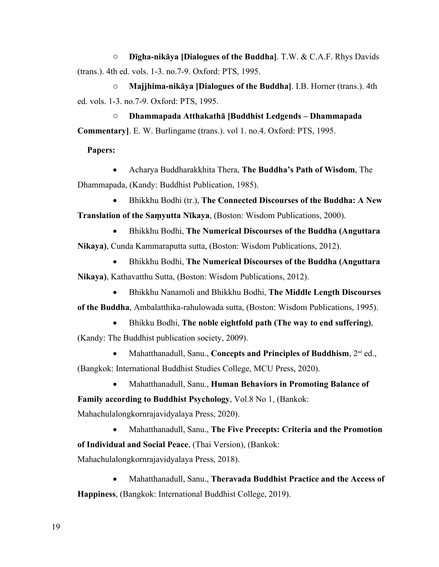o **Dīgha-nikāya [Dialogues of the Buddha]**. T.W. & C.A.F. Rhys Davids (trans.). 4th ed. vols. 1-3. no.7-9. Oxford: PTS, 1995.

o **Majjhima-nikāya [Dialogues of the Buddha]**. I.B. Horner (trans.). 4th ed. vols. 1-3. no.7-9. Oxford: PTS, 1995.

o **Dhammapada Atthakathā [Buddhist Ledgends – Dhammapada Commentary]**. E. W. Burlingame (trans.). vol 1. no.4. Oxford: PTS, 1995.

#### **Papers:**

 Acharya Buddharakkhita Thera, **The Buddha's Path of Wisdom**, The Dhammapada, (Kandy: Buddhist Publication, 1985).

 Bhikkhu Bodhi (tr.), **The Connected Discourses of the Buddha: A New Translation of the Saṃyutta Nῑkaya**, (Boston: Wisdom Publications, 2000).

 Bhikkhu Bodhi, **The Numerical Discourses of the Buddha (Anguttara Nikaya)**, Cunda Kammaraputta sutta, (Boston: Wisdom Publications, 2012).

 Bhikkhu Bodhi, **The Numerical Discourses of the Buddha (Anguttara Nikaya)**, Kathavatthu Sutta, (Boston: Wisdom Publications, 2012).

 Bhikkhu Nanamoli and Bhikkhu Bodhi, **The Middle Length Discourses of the Buddha**, Ambalatthika-rahulowada sutta, (Boston: Wisdom Publications, 1995).

Bhikku Bodhi, **The noble eightfold path (The way to end suffering)**, (Kandy: The Buddhist publication society, 2009).

• Mahatthanadull, Sanu., **Concepts and Principles of Buddhism**,  $2^{nd}$  ed., (Bangkok: International Buddhist Studies College, MCU Press, 2020).

Mahatthanadull, Sanu., **Human Behaviors in Promoting Balance of** 

**Family according to Buddhist Psychology**, Vol.8 No 1, (Bankok:

Mahachulalongkornrajavidyalaya Press, 2020).

 Mahatthanadull, Sanu., **The Five Precepts: Criteria and the Promotion of Individual and Social Peace**, (Thai Version), (Bankok:

Mahachulalongkornrajavidyalaya Press, 2018).

 Mahatthanadull, Sanu., **Theravada Buddhist Practice and the Access of Happiness**, (Bangkok: International Buddhist College, 2019).